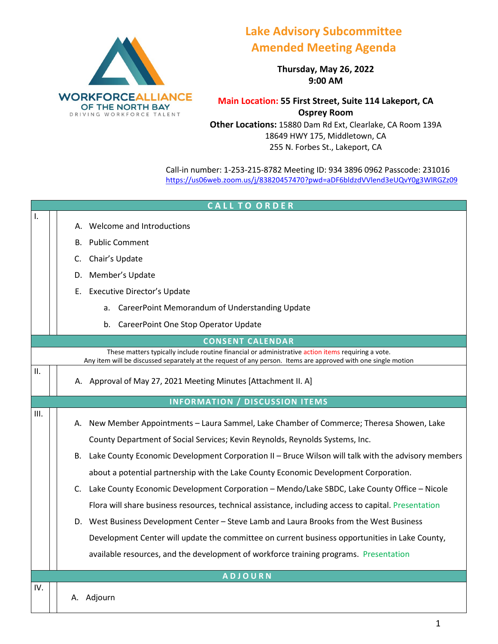

## **Lake Advisory Subcommittee Amended Meeting Agenda**

**Thursday, May 26, 2022 9:00 AM**

**Main Location: 55 First Street, Suite 114 Lakeport, CA Osprey Room**

**Other Locations:** 15880 Dam Rd Ext, Clearlake, CA Room 139A 18649 HWY 175, Middletown, CA 255 N. Forbes St., Lakeport, CA

Call-in number: 1-253-215-8782 Meeting ID: 934 3896 0962 Passcode: 231016 <https://us06web.zoom.us/j/83820457470?pwd=aDF6bldzdVVlend3eUQvY0g3WlRGZz09>

|      | <b>CALL TO ORDER</b>                                                                                                                                                                                                |
|------|---------------------------------------------------------------------------------------------------------------------------------------------------------------------------------------------------------------------|
| Ι.   | Welcome and Introductions<br>А.                                                                                                                                                                                     |
|      | <b>Public Comment</b><br>В.                                                                                                                                                                                         |
|      |                                                                                                                                                                                                                     |
|      | Chair's Update<br>C.                                                                                                                                                                                                |
|      | D. Member's Update                                                                                                                                                                                                  |
|      | <b>Executive Director's Update</b><br>Е.                                                                                                                                                                            |
|      | CareerPoint Memorandum of Understanding Update<br>a.                                                                                                                                                                |
|      | CareerPoint One Stop Operator Update<br>b.                                                                                                                                                                          |
|      | <b>CONSENT CALENDAR</b>                                                                                                                                                                                             |
|      | These matters typically include routine financial or administrative action items requiring a vote.<br>Any item will be discussed separately at the request of any person. Items are approved with one single motion |
| II.  | A. Approval of May 27, 2021 Meeting Minutes [Attachment II. A]                                                                                                                                                      |
|      | <b>INFORMATION / DISCUSSION ITEMS</b>                                                                                                                                                                               |
| III. | A. New Member Appointments - Laura Sammel, Lake Chamber of Commerce; Theresa Showen, Lake                                                                                                                           |
|      | County Department of Social Services; Kevin Reynolds, Reynolds Systems, Inc.                                                                                                                                        |
|      | B. Lake County Economic Development Corporation II - Bruce Wilson will talk with the advisory members                                                                                                               |
|      | about a potential partnership with the Lake County Economic Development Corporation.                                                                                                                                |
|      | C. Lake County Economic Development Corporation - Mendo/Lake SBDC, Lake County Office - Nicole                                                                                                                      |
|      | Flora will share business resources, technical assistance, including access to capital. Presentation                                                                                                                |
|      | D. West Business Development Center - Steve Lamb and Laura Brooks from the West Business                                                                                                                            |
|      | Development Center will update the committee on current business opportunities in Lake County,                                                                                                                      |
|      | available resources, and the development of workforce training programs. Presentation                                                                                                                               |
|      | <b>ADJOURN</b>                                                                                                                                                                                                      |
| IV.  |                                                                                                                                                                                                                     |
|      | A. Adjourn                                                                                                                                                                                                          |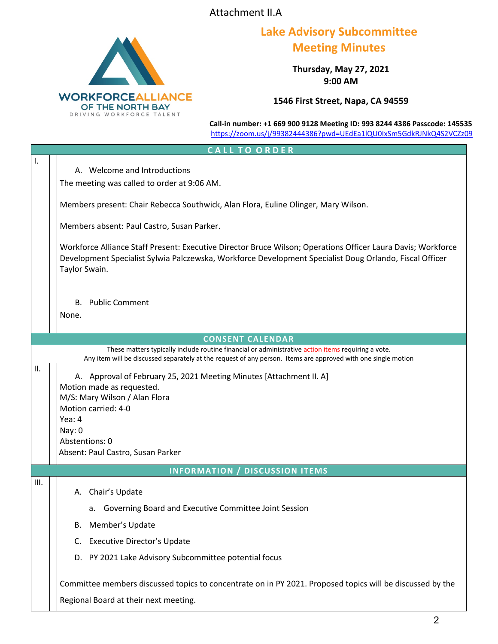Attachment II.A



## **Lake Advisory Subcommittee Meeting Minutes**

**Thursday, May 27, 2021 9:00 AM**

**1546 First Street, Napa, CA 94559**

**Call-in number: +1 669 900 9128 Meeting ID: 993 8244 4386 Passcode: 145535** <https://zoom.us/j/99382444386?pwd=UEdEa1lQU0IxSm5GdkRJNkQ4S2VCZz09>

|      | CALL TO ORDER                                                                                                                                                                                                                                                                                                               |
|------|-----------------------------------------------------------------------------------------------------------------------------------------------------------------------------------------------------------------------------------------------------------------------------------------------------------------------------|
| Ι.   | A. Welcome and Introductions<br>The meeting was called to order at 9:06 AM.<br>Members present: Chair Rebecca Southwick, Alan Flora, Euline Olinger, Mary Wilson.<br>Members absent: Paul Castro, Susan Parker.                                                                                                             |
|      | Workforce Alliance Staff Present: Executive Director Bruce Wilson; Operations Officer Laura Davis; Workforce<br>Development Specialist Sylwia Palczewska, Workforce Development Specialist Doug Orlando, Fiscal Officer<br>Taylor Swain.                                                                                    |
|      | <b>B.</b> Public Comment                                                                                                                                                                                                                                                                                                    |
|      | None.                                                                                                                                                                                                                                                                                                                       |
|      | <b>CONSENT CALENDAR</b>                                                                                                                                                                                                                                                                                                     |
|      | These matters typically include routine financial or administrative action items requiring a vote.<br>Any item will be discussed separately at the request of any person. Items are approved with one single motion                                                                                                         |
| II.  | A. Approval of February 25, 2021 Meeting Minutes [Attachment II. A]<br>Motion made as requested.<br>M/S: Mary Wilson / Alan Flora<br>Motion carried: 4-0<br>Yea: 4<br>Nay: 0<br>Abstentions: 0<br>Absent: Paul Castro, Susan Parker                                                                                         |
|      | <b>INFORMATION / DISCUSSION ITEMS</b>                                                                                                                                                                                                                                                                                       |
| III. | A. Chair's Update<br>Governing Board and Executive Committee Joint Session<br>a.<br>Member's Update<br>В.<br><b>Executive Director's Update</b><br>C.<br>D. PY 2021 Lake Advisory Subcommittee potential focus<br>Committee members discussed topics to concentrate on in PY 2021. Proposed topics will be discussed by the |
|      | Regional Board at their next meeting.                                                                                                                                                                                                                                                                                       |
|      |                                                                                                                                                                                                                                                                                                                             |